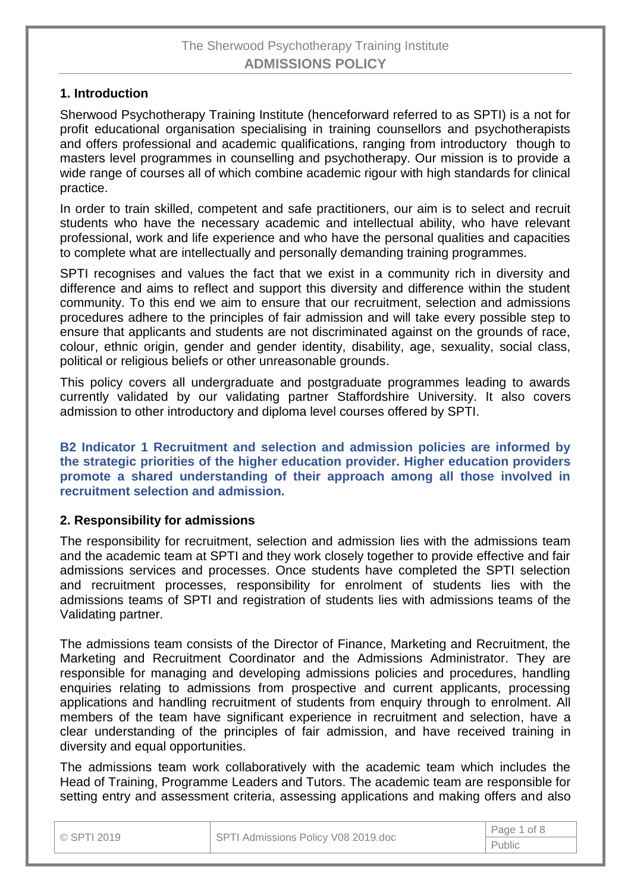# The Sherwood Psychotherapy Training Institute **ADMISSIONS POLICY**

# **1. Introduction**

Sherwood Psychotherapy Training Institute (henceforward referred to as SPTI) is a not for profit educational organisation specialising in training counsellors and psychotherapists and offers professional and academic qualifications, ranging from introductory though to masters level programmes in counselling and psychotherapy. Our mission is to provide a wide range of courses all of which combine academic rigour with high standards for clinical practice.

In order to train skilled, competent and safe practitioners, our aim is to select and recruit students who have the necessary academic and intellectual ability, who have relevant professional, work and life experience and who have the personal qualities and capacities to complete what are intellectually and personally demanding training programmes.

SPTI recognises and values the fact that we exist in a community rich in diversity and difference and aims to reflect and support this diversity and difference within the student community. To this end we aim to ensure that our recruitment, selection and admissions procedures adhere to the principles of fair admission and will take every possible step to ensure that applicants and students are not discriminated against on the grounds of race, colour, ethnic origin, gender and gender identity, disability, age, sexuality, social class, political or religious beliefs or other unreasonable grounds.

This policy covers all undergraduate and postgraduate programmes leading to awards currently validated by our validating partner Staffordshire University. It also covers admission to other introductory and diploma level courses offered by SPTI.

**B2 Indicator 1 Recruitment and selection and admission policies are informed by the strategic priorities of the higher education provider. Higher education providers promote a shared understanding of their approach among all those involved in recruitment selection and admission.**

## **2. Responsibility for admissions**

The responsibility for recruitment, selection and admission lies with the admissions team and the academic team at SPTI and they work closely together to provide effective and fair admissions services and processes. Once students have completed the SPTI selection and recruitment processes, responsibility for enrolment of students lies with the admissions teams of SPTI and registration of students lies with admissions teams of the Validating partner.

The admissions team consists of the Director of Finance, Marketing and Recruitment, the Marketing and Recruitment Coordinator and the Admissions Administrator. They are responsible for managing and developing admissions policies and procedures, handling enquiries relating to admissions from prospective and current applicants, processing applications and handling recruitment of students from enquiry through to enrolment. All members of the team have significant experience in recruitment and selection, have a clear understanding of the principles of fair admission, and have received training in diversity and equal opportunities.

The admissions team work collaboratively with the academic team which includes the Head of Training, Programme Leaders and Tutors. The academic team are responsible for setting entry and assessment criteria, assessing applications and making offers and also

| © SPTI 2019 | SPTI Admissions Policy V08 2019.doc | Page 1 of 8 |  |
|-------------|-------------------------------------|-------------|--|
|             |                                     | Public      |  |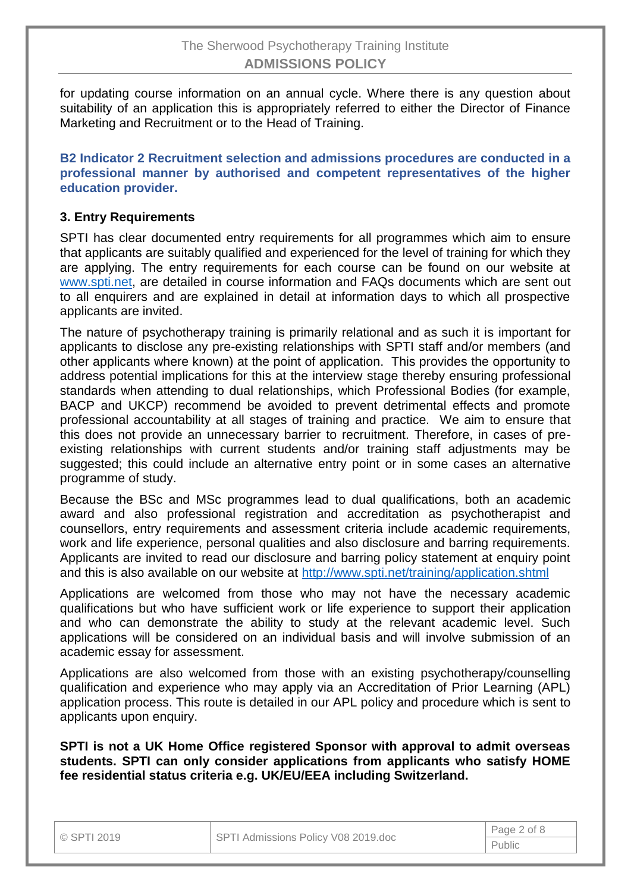for updating course information on an annual cycle. Where there is any question about suitability of an application this is appropriately referred to either the Director of Finance Marketing and Recruitment or to the Head of Training.

**B2 Indicator 2 Recruitment selection and admissions procedures are conducted in a professional manner by authorised and competent representatives of the higher education provider.**

# **3. Entry Requirements**

SPTI has clear documented entry requirements for all programmes which aim to ensure that applicants are suitably qualified and experienced for the level of training for which they are applying. The entry requirements for each course can be found on our website at [www.spti.net,](http://www.spti.net/) are detailed in course information and FAQs documents which are sent out to all enquirers and are explained in detail at information days to which all prospective applicants are invited.

The nature of psychotherapy training is primarily relational and as such it is important for applicants to disclose any pre-existing relationships with SPTI staff and/or members (and other applicants where known) at the point of application. This provides the opportunity to address potential implications for this at the interview stage thereby ensuring professional standards when attending to dual relationships, which Professional Bodies (for example, BACP and UKCP) recommend be avoided to prevent detrimental effects and promote professional accountability at all stages of training and practice. We aim to ensure that this does not provide an unnecessary barrier to recruitment. Therefore, in cases of preexisting relationships with current students and/or training staff adjustments may be suggested; this could include an alternative entry point or in some cases an alternative programme of study.

Because the BSc and MSc programmes lead to dual qualifications, both an academic award and also professional registration and accreditation as psychotherapist and counsellors, entry requirements and assessment criteria include academic requirements, work and life experience, personal qualities and also disclosure and barring requirements. Applicants are invited to read our disclosure and barring policy statement at enquiry point and this is also available on our website at<http://www.spti.net/training/application.shtml>

Applications are welcomed from those who may not have the necessary academic qualifications but who have sufficient work or life experience to support their application and who can demonstrate the ability to study at the relevant academic level. Such applications will be considered on an individual basis and will involve submission of an academic essay for assessment.

Applications are also welcomed from those with an existing psychotherapy/counselling qualification and experience who may apply via an Accreditation of Prior Learning (APL) application process. This route is detailed in our APL policy and procedure which is sent to applicants upon enquiry.

**SPTI is not a UK Home Office registered Sponsor with approval to admit overseas students. SPTI can only consider applications from applicants who satisfy HOME fee residential status criteria e.g. UK/EU/EEA including Switzerland.**

| © SPTI 2019 | SPTI Admissions Policy V08 2019.doc | Page 2 of 8 |
|-------------|-------------------------------------|-------------|
|             |                                     | Public      |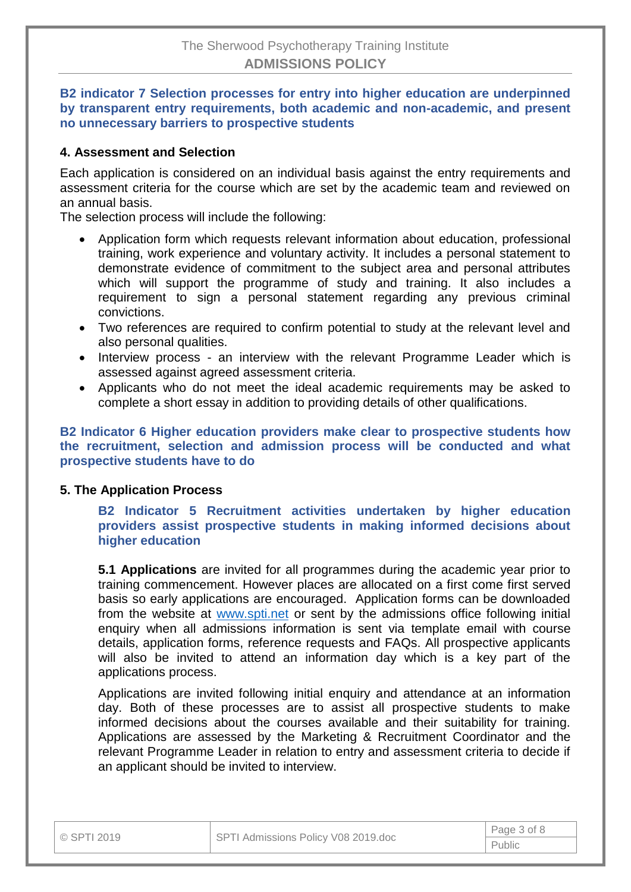### **B2 indicator 7 Selection processes for entry into higher education are underpinned by transparent entry requirements, both academic and non-academic, and present no unnecessary barriers to prospective students**

# **4. Assessment and Selection**

Each application is considered on an individual basis against the entry requirements and assessment criteria for the course which are set by the academic team and reviewed on an annual basis.

The selection process will include the following:

- Application form which requests relevant information about education, professional training, work experience and voluntary activity. It includes a personal statement to demonstrate evidence of commitment to the subject area and personal attributes which will support the programme of study and training. It also includes a requirement to sign a personal statement regarding any previous criminal convictions.
- Two references are required to confirm potential to study at the relevant level and also personal qualities.
- Interview process an interview with the relevant Programme Leader which is assessed against agreed assessment criteria.
- Applicants who do not meet the ideal academic requirements may be asked to complete a short essay in addition to providing details of other qualifications.

### **B2 Indicator 6 Higher education providers make clear to prospective students how the recruitment, selection and admission process will be conducted and what prospective students have to do**

## **5. The Application Process**

**B2 Indicator 5 Recruitment activities undertaken by higher education providers assist prospective students in making informed decisions about higher education**

**5.1 Applications** are invited for all programmes during the academic year prior to training commencement. However places are allocated on a first come first served basis so early applications are encouraged. Application forms can be downloaded from the website at [www.spti.net](http://www.spti.net/) or sent by the admissions office following initial enquiry when all admissions information is sent via template email with course details, application forms, reference requests and FAQs. All prospective applicants will also be invited to attend an information day which is a key part of the applications process.

Applications are invited following initial enquiry and attendance at an information day. Both of these processes are to assist all prospective students to make informed decisions about the courses available and their suitability for training. Applications are assessed by the Marketing & Recruitment Coordinator and the relevant Programme Leader in relation to entry and assessment criteria to decide if an applicant should be invited to interview.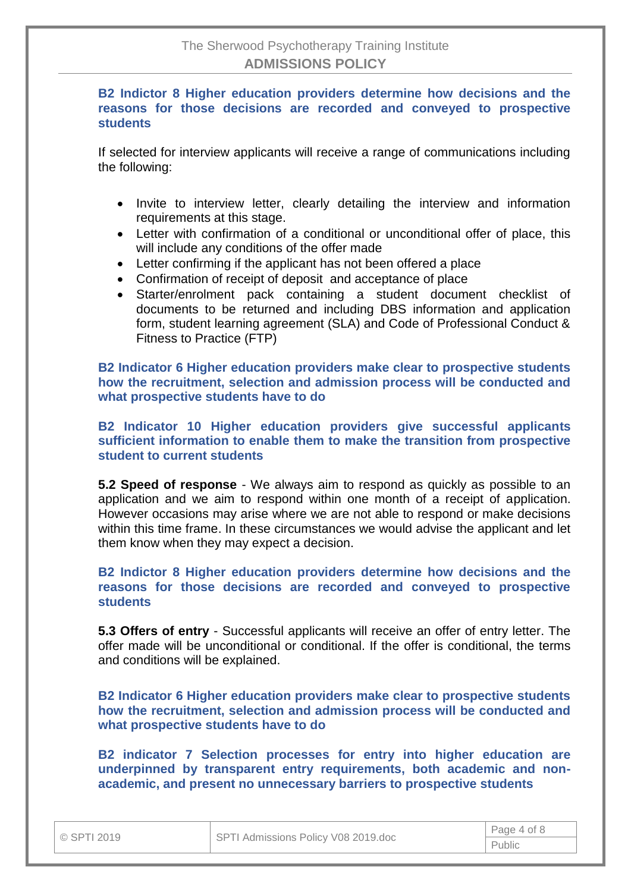**B2 Indictor 8 Higher education providers determine how decisions and the reasons for those decisions are recorded and conveyed to prospective students**

If selected for interview applicants will receive a range of communications including the following:

- Invite to interview letter, clearly detailing the interview and information requirements at this stage.
- Letter with confirmation of a conditional or unconditional offer of place, this will include any conditions of the offer made
- Letter confirming if the applicant has not been offered a place
- Confirmation of receipt of deposit and acceptance of place
- Starter/enrolment pack containing a student document checklist of documents to be returned and including DBS information and application form, student learning agreement (SLA) and Code of Professional Conduct & Fitness to Practice (FTP)

**B2 Indicator 6 Higher education providers make clear to prospective students how the recruitment, selection and admission process will be conducted and what prospective students have to do**

**B2 Indicator 10 Higher education providers give successful applicants sufficient information to enable them to make the transition from prospective student to current students**

**5.2 Speed of response** - We always aim to respond as quickly as possible to an application and we aim to respond within one month of a receipt of application. However occasions may arise where we are not able to respond or make decisions within this time frame. In these circumstances we would advise the applicant and let them know when they may expect a decision.

**B2 Indictor 8 Higher education providers determine how decisions and the reasons for those decisions are recorded and conveyed to prospective students**

**5.3 Offers of entry** - Successful applicants will receive an offer of entry letter. The offer made will be unconditional or conditional. If the offer is conditional, the terms and conditions will be explained.

**B2 Indicator 6 Higher education providers make clear to prospective students how the recruitment, selection and admission process will be conducted and what prospective students have to do**

**B2 indicator 7 Selection processes for entry into higher education are underpinned by transparent entry requirements, both academic and nonacademic, and present no unnecessary barriers to prospective students**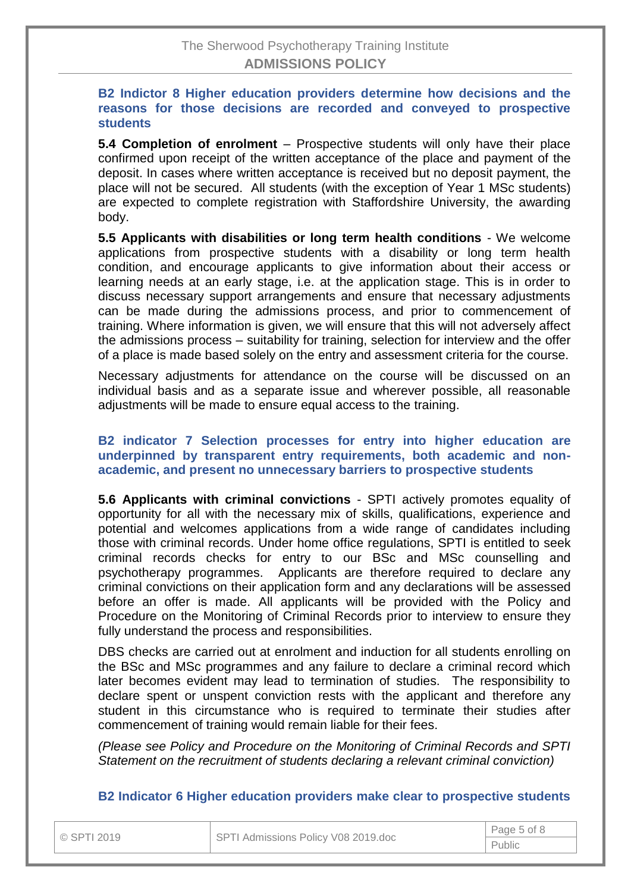## **B2 Indictor 8 Higher education providers determine how decisions and the reasons for those decisions are recorded and conveyed to prospective students**

**5.4 Completion of enrolment** – Prospective students will only have their place confirmed upon receipt of the written acceptance of the place and payment of the deposit. In cases where written acceptance is received but no deposit payment, the place will not be secured. All students (with the exception of Year 1 MSc students) are expected to complete registration with Staffordshire University, the awarding body.

**5.5 Applicants with disabilities or long term health conditions** - We welcome applications from prospective students with a disability or long term health condition, and encourage applicants to give information about their access or learning needs at an early stage, i.e. at the application stage. This is in order to discuss necessary support arrangements and ensure that necessary adjustments can be made during the admissions process, and prior to commencement of training. Where information is given, we will ensure that this will not adversely affect the admissions process – suitability for training, selection for interview and the offer of a place is made based solely on the entry and assessment criteria for the course.

Necessary adjustments for attendance on the course will be discussed on an individual basis and as a separate issue and wherever possible, all reasonable adjustments will be made to ensure equal access to the training.

### **B2 indicator 7 Selection processes for entry into higher education are underpinned by transparent entry requirements, both academic and nonacademic, and present no unnecessary barriers to prospective students**

**5.6 Applicants with criminal convictions** - SPTI actively promotes equality of opportunity for all with the necessary mix of skills, qualifications, experience and potential and welcomes applications from a wide range of candidates including those with criminal records. Under home office regulations, SPTI is entitled to seek criminal records checks for entry to our BSc and MSc counselling and psychotherapy programmes. Applicants are therefore required to declare any criminal convictions on their application form and any declarations will be assessed before an offer is made. All applicants will be provided with the Policy and Procedure on the Monitoring of Criminal Records prior to interview to ensure they fully understand the process and responsibilities.

DBS checks are carried out at enrolment and induction for all students enrolling on the BSc and MSc programmes and any failure to declare a criminal record which later becomes evident may lead to termination of studies. The responsibility to declare spent or unspent conviction rests with the applicant and therefore any student in this circumstance who is required to terminate their studies after commencement of training would remain liable for their fees.

*(Please see Policy and Procedure on the Monitoring of Criminal Records and SPTI Statement on the recruitment of students declaring a relevant criminal conviction)*

#### **B2 Indicator 6 Higher education providers make clear to prospective students**

| © SPTI 2019 | SPTI Admissions Policy V08 2019.doc | Page 5 of 8 |  |
|-------------|-------------------------------------|-------------|--|
|             |                                     | Public      |  |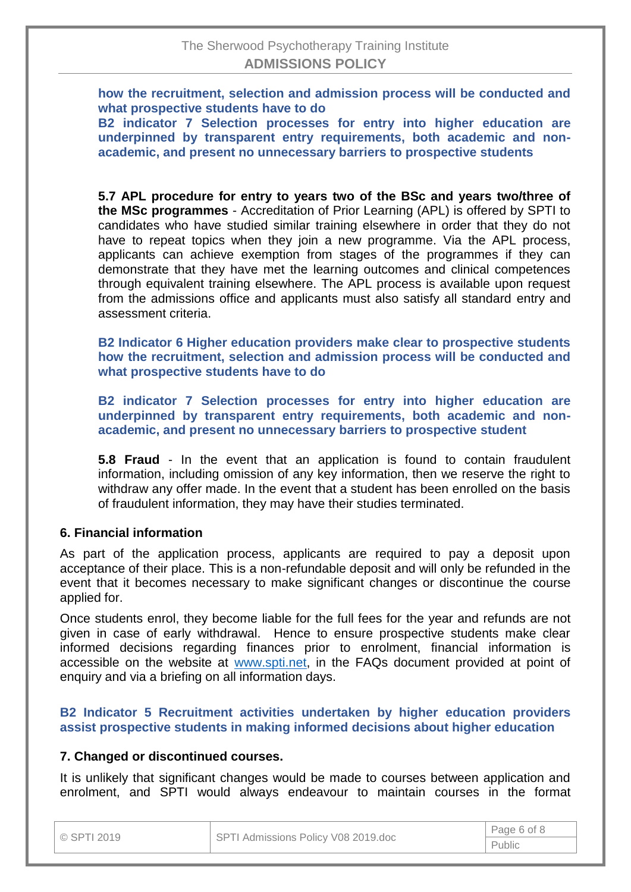**how the recruitment, selection and admission process will be conducted and what prospective students have to do**

**B2 indicator 7 Selection processes for entry into higher education are underpinned by transparent entry requirements, both academic and nonacademic, and present no unnecessary barriers to prospective students**

**5.7 APL procedure for entry to years two of the BSc and years two/three of the MSc programmes** - Accreditation of Prior Learning (APL) is offered by SPTI to candidates who have studied similar training elsewhere in order that they do not have to repeat topics when they join a new programme. Via the APL process, applicants can achieve exemption from stages of the programmes if they can demonstrate that they have met the learning outcomes and clinical competences through equivalent training elsewhere. The APL process is available upon request from the admissions office and applicants must also satisfy all standard entry and assessment criteria.

**B2 Indicator 6 Higher education providers make clear to prospective students how the recruitment, selection and admission process will be conducted and what prospective students have to do**

**B2 indicator 7 Selection processes for entry into higher education are underpinned by transparent entry requirements, both academic and nonacademic, and present no unnecessary barriers to prospective student**

**5.8 Fraud** - In the event that an application is found to contain fraudulent information, including omission of any key information, then we reserve the right to withdraw any offer made. In the event that a student has been enrolled on the basis of fraudulent information, they may have their studies terminated.

## **6. Financial information**

As part of the application process, applicants are required to pay a deposit upon acceptance of their place. This is a non-refundable deposit and will only be refunded in the event that it becomes necessary to make significant changes or discontinue the course applied for.

Once students enrol, they become liable for the full fees for the year and refunds are not given in case of early withdrawal. Hence to ensure prospective students make clear informed decisions regarding finances prior to enrolment, financial information is accessible on the website at [www.spti.net,](http://www.spti.net/) in the FAQs document provided at point of enquiry and via a briefing on all information days.

**B2 Indicator 5 Recruitment activities undertaken by higher education providers assist prospective students in making informed decisions about higher education**

#### **7. Changed or discontinued courses.**

It is unlikely that significant changes would be made to courses between application and enrolment, and SPTI would always endeavour to maintain courses in the format

| © SPTI 2019 | SPTI Admissions Policy V08 2019.doc | Page 6 of 8 |  |
|-------------|-------------------------------------|-------------|--|
|             |                                     | Public      |  |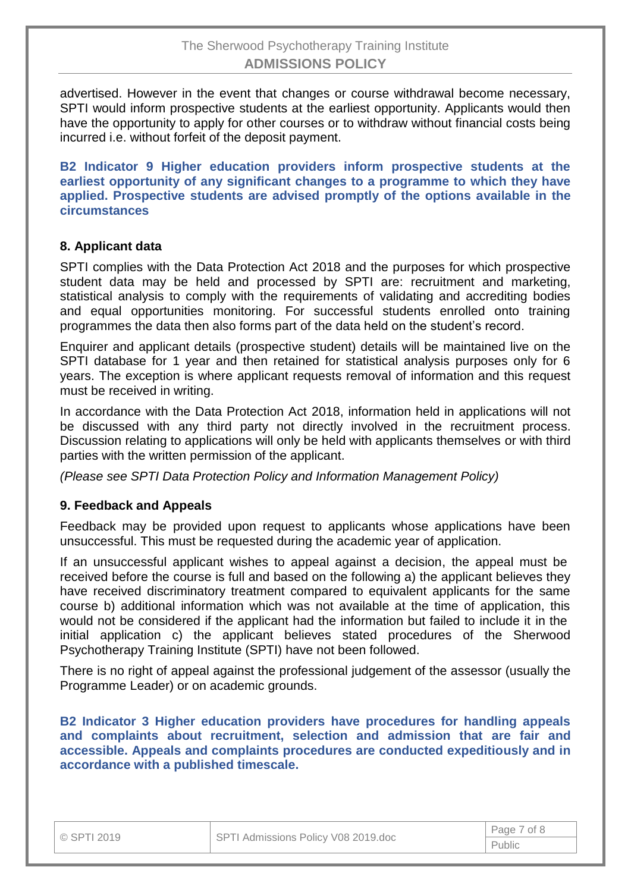advertised. However in the event that changes or course withdrawal become necessary, SPTI would inform prospective students at the earliest opportunity. Applicants would then have the opportunity to apply for other courses or to withdraw without financial costs being incurred i.e. without forfeit of the deposit payment.

**B2 Indicator 9 Higher education providers inform prospective students at the earliest opportunity of any significant changes to a programme to which they have applied. Prospective students are advised promptly of the options available in the circumstances**

## **8. Applicant data**

SPTI complies with the Data Protection Act 2018 and the purposes for which prospective student data may be held and processed by SPTI are: recruitment and marketing, statistical analysis to comply with the requirements of validating and accrediting bodies and equal opportunities monitoring. For successful students enrolled onto training programmes the data then also forms part of the data held on the student's record.

Enquirer and applicant details (prospective student) details will be maintained live on the SPTI database for 1 year and then retained for statistical analysis purposes only for 6 years. The exception is where applicant requests removal of information and this request must be received in writing.

In accordance with the Data Protection Act 2018, information held in applications will not be discussed with any third party not directly involved in the recruitment process. Discussion relating to applications will only be held with applicants themselves or with third parties with the written permission of the applicant.

*(Please see SPTI Data Protection Policy and Information Management Policy)*

## **9. Feedback and Appeals**

Feedback may be provided upon request to applicants whose applications have been unsuccessful. This must be requested during the academic year of application.

If an unsuccessful applicant wishes to appeal against a decision, the appeal must be received before the course is full and based on the following a) the applicant believes they have received discriminatory treatment compared to equivalent applicants for the same course b) additional information which was not available at the time of application, this would not be considered if the applicant had the information but failed to include it in the initial application c) the applicant believes stated procedures of the Sherwood Psychotherapy Training Institute (SPTI) have not been followed.

There is no right of appeal against the professional judgement of the assessor (usually the Programme Leader) or on academic grounds.

**B2 Indicator 3 Higher education providers have procedures for handling appeals and complaints about recruitment, selection and admission that are fair and accessible. Appeals and complaints procedures are conducted expeditiously and in accordance with a published timescale.**

|  | © SPTI 2019 |  |  |  |  |  |
|--|-------------|--|--|--|--|--|
|--|-------------|--|--|--|--|--|